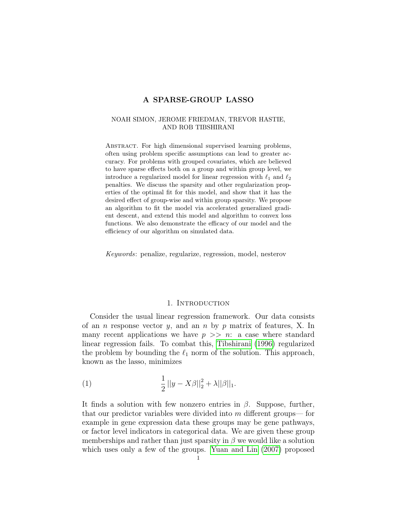#### NOAH SIMON, JEROME FRIEDMAN, TREVOR HASTIE, AND ROB TIBSHIRANI

ABSTRACT. For high dimensional supervised learning problems, often using problem specific assumptions can lead to greater accuracy. For problems with grouped covariates, which are believed to have sparse effects both on a group and within group level, we introduce a regularized model for linear regression with  $\ell_1$  and  $\ell_2$ penalties. We discuss the sparsity and other regularization properties of the optimal fit for this model, and show that it has the desired effect of group-wise and within group sparsity. We propose an algorithm to fit the model via accelerated generalized gradient descent, and extend this model and algorithm to convex loss functions. We also demonstrate the efficacy of our model and the efficiency of our algorithm on simulated data.

Keywords: penalize, regularize, regression, model, nesterov

#### 1. INTRODUCTION

Consider the usual linear regression framework. Our data consists of an *n* response vector y, and an *n* by p matrix of features, X. In many recent applications we have  $p \gg n$ : a case where standard linear regression fails. To combat this, [Tibshirani](#page-17-0) [\(1996\)](#page-17-0) regularized the problem by bounding the  $\ell_1$  norm of the solution. This approach, known as the lasso, minimizes

(1) 
$$
\frac{1}{2}||y - X\beta||_2^2 + \lambda ||\beta||_1.
$$

It finds a solution with few nonzero entries in  $\beta$ . Suppose, further, that our predictor variables were divided into  $m$  different groups— for example in gene expression data these groups may be gene pathways, or factor level indicators in categorical data. We are given these group memberships and rather than just sparsity in  $\beta$  we would like a solution which uses only a few of the groups. [Yuan and Lin](#page-18-0) [\(2007\)](#page-18-0) proposed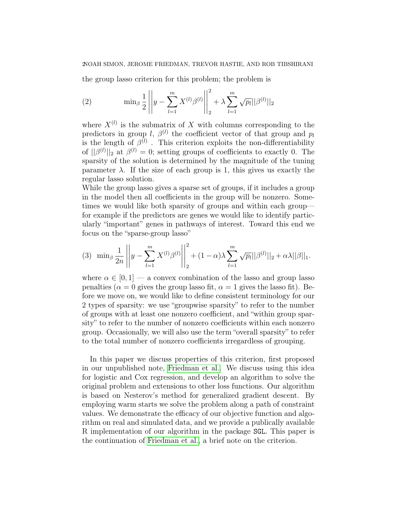the group lasso criterion for this problem; the problem is

(2) 
$$
\min_{\beta} \frac{1}{2} \left| y - \sum_{l=1}^{m} X^{(l)} \beta^{(l)} \right|_{2}^{2} + \lambda \sum_{l=1}^{m} \sqrt{p_{l}} ||\beta^{(l)}||_{2}
$$

where  $X^{(l)}$  is the submatrix of X with columns corresponding to the predictors in group l,  $\beta^{(l)}$  the coefficient vector of that group and  $p_l$ is the length of  $\beta^{(l)}$ . This criterion exploits the non-differentiability of  $||\beta^{(l)}||_2$  at  $\beta^{(l)}=0$ ; setting groups of coefficients to exactly 0. The sparsity of the solution is determined by the magnitude of the tuning parameter  $\lambda$ . If the size of each group is 1, this gives us exactly the regular lasso solution.

While the group lasso gives a sparse set of groups, if it includes a group in the model then all coefficients in the group will be nonzero. Sometimes we would like both sparsity of groups and within each group for example if the predictors are genes we would like to identify particularly "important" genes in pathways of interest. Toward this end we focus on the "sparse-group lasso"

$$
(3) \ \ \min_{\beta} \frac{1}{2n} \left| \left| y - \sum_{l=1}^{m} X^{(l)} \beta^{(l)} \right| \right|_{2}^{2} + (1 - \alpha) \lambda \sum_{l=1}^{m} \sqrt{p_{l}} ||\beta^{(l)}||_{2} + \alpha \lambda ||\beta||_{1}.
$$

where  $\alpha \in [0, 1]$  — a convex combination of the lasso and group lasso penalties ( $\alpha = 0$  gives the group lasso fit,  $\alpha = 1$  gives the lasso fit). Before we move on, we would like to define consistent terminology for our 2 types of sparsity: we use "groupwise sparsity" to refer to the number of groups with at least one nonzero coefficient, and "within group sparsity" to refer to the number of nonzero coefficients within each nonzero group. Occasionally, we will also use the term "overall sparsity" to refer to the total number of nonzero coefficients irregardless of grouping.

In this paper we discuss properties of this criterion, first proposed in our unpublished note, [Friedman et al..](#page-17-1) We discuss using this idea for logistic and Cox regression, and develop an algorithm to solve the original problem and extensions to other loss functions. Our algorithm is based on Nesterov's method for generalized gradient descent. By employing warm starts we solve the problem along a path of constraint values. We demonstrate the efficacy of our objective function and algorithm on real and simulated data, and we provide a publically available R implementation of our algorithm in the package SGL. This paper is the continuation of [Friedman et al.,](#page-17-1) a brief note on the criterion.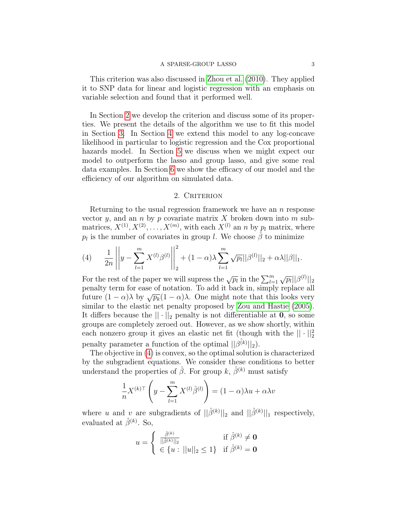This criterion was also discussed in [Zhou et al.](#page-18-1) [\(2010\)](#page-18-1). They applied it to SNP data for linear and logistic regression with an emphasis on variable selection and found that it performed well.

In Section [2](#page-2-0) we develop the criterion and discuss some of its properties. We present the details of the algorithm we use to fit this model in Section [3.](#page-4-0) In Section [4](#page-8-0) we extend this model to any log-concave likelihood in particular to logistic regression and the Cox proportional hazards model. In Section [5](#page-9-0) we discuss when we might expect our model to outperform the lasso and group lasso, and give some real data examples. In Section [6](#page-13-0) we show the efficacy of our model and the efficiency of our algorithm on simulated data.

## 2. CRITERION

<span id="page-2-0"></span>Returning to the usual regression framework we have an  $n$  response vector y, and an n by p covariate matrix X broken down into m submatrices,  $X^{(1)}, X^{(2)}, \ldots, X^{(m)}$ , with each  $X^{(l)}$  an n by  $p_l$  matrix, where  $p_l$  is the number of covariates in group l. We choose  $\hat{\beta}$  to minimize

<span id="page-2-1"></span>(4) 
$$
\frac{1}{2n} \left\| y - \sum_{l=1}^{m} X^{(l)} \beta^{(l)} \right\|_{2}^{2} + (1 - \alpha) \lambda \sum_{l=1}^{m} \sqrt{p_{l}} ||\beta^{(l)}||_{2} + \alpha \lambda ||\beta||_{1}.
$$

For the rest of the paper we will supress the  $\sqrt{p_l}$  in the  $\sum_{l=1}^m \sqrt{p_l} ||\beta^{(l)}||_2$ penalty term for ease of notation. To add it back in, simply replace all future  $(1 - \alpha)\lambda$  by  $\sqrt{p_k}(1 - \alpha)\lambda$ . One might note that this looks very similar to the elastic net penalty proposed by [Zou and Hastie](#page-18-2) [\(2005\)](#page-18-2). It differs because the  $|| \cdot ||_2$  penalty is not differentiable at 0, so some groups are completely zeroed out. However, as we show shortly, within each nonzero group it gives an elastic net fit (though with the  $|| \cdot ||_2^2$ penalty parameter a function of the optimal  $||\hat{\beta^{(k)}}||_2$ .

The objective in [\(4\)](#page-2-1) is convex, so the optimal solution is characterized by the subgradient equations. We consider these conditions to better understand the properties of  $\hat{\beta}$ . For group k,  $\hat{\beta}^{(k)}$  must satisfy

$$
\frac{1}{n}X^{(k)\top}\left(y - \sum_{l=1}^{m} X^{(l)}\hat{\beta}^{(l)}\right) = (1 - \alpha)\lambda u + \alpha\lambda v
$$

where u and v are subgradients of  $||\hat{\beta}^{(k)}||_2$  and  $||\hat{\beta}^{(k)}||_1$  respectively, evaluated at  $\hat{\beta}^{(k)}$ . So,

$$
u = \begin{cases} \n\frac{\hat{\beta}^{(k)}}{||\hat{\beta}^{(k)}||_2} & \text{if } \hat{\beta}^{(k)} \neq \mathbf{0} \\ \n\in \{u : ||u||_2 \leq 1\} & \text{if } \hat{\beta}^{(k)} = \mathbf{0}\n\end{cases}
$$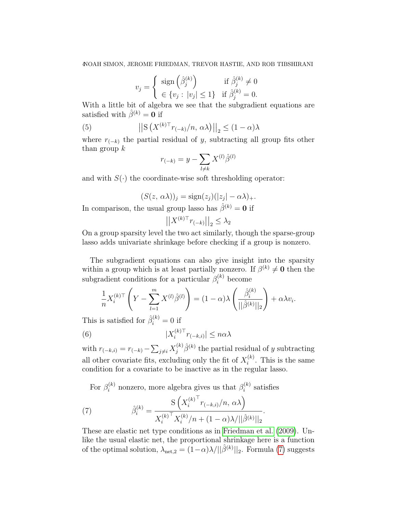$$
v_j = \begin{cases} \operatorname{sign} \left( \hat{\beta}_j^{(k)} \right) & \text{if } \hat{\beta}_j^{(k)} \neq 0 \\ \in \{ v_j : |v_j| \leq 1 \} & \text{if } \hat{\beta}_j^{(k)} = 0. \end{cases}
$$

With a little bit of algebra we see that the subgradient equations are satisfied with  $\hat{\beta}^{(k)} = 0$  if

(5) 
$$
\left| \left| \mathbf{S} \left( X^{(k)\top} r_{(-k)}/n, \, \alpha \lambda \right) \right| \right|_2 \leq (1 - \alpha) \lambda
$$

where  $r_{(-k)}$  the partial residual of y, subtracting all group fits other than group  $k$ 

<span id="page-3-1"></span>
$$
r_{(-k)} = y - \sum_{l \neq k} X^{(l)} \hat{\beta}^{(l)}
$$

and with  $S(\cdot)$  the coordinate-wise soft thresholding operator:

$$
(S(z, \alpha \lambda))_j = \text{sign}(z_j)(|z_j| - \alpha \lambda)_+.
$$

In comparison, the usual group lasso has  $\hat{\beta}^{(k)} = 0$  if

$$
\left| \left| X^{(k)\top} r_{(-k)} \right| \right|_2 \le \lambda_2
$$

On a group sparsity level the two act similarly, though the sparse-group lasso adds univariate shrinkage before checking if a group is nonzero.

The subgradient equations can also give insight into the sparsity within a group which is at least partially nonzero. If  $\beta^{(k)} \neq 0$  then the subgradient conditions for a particular  $\beta_i^{(k)}$  become

$$
\frac{1}{n} X_i^{(k)\top} \left( Y - \sum_{l=1}^m X^{(l)} \hat{\beta}^{(l)} \right) = (1 - \alpha) \lambda \left( \frac{\hat{\beta}_i^{(k)}}{||\hat{\beta}^{(k)}||_2} \right) + \alpha \lambda v_i.
$$

This is satisfied for  $\hat{\beta}_i^{(k)} = 0$  if

(6) 
$$
|X_i^{(k)\top}r_{(-k,i)}| \leq n\alpha\lambda
$$

with  $r_{(-k,i)} = r_{(-k)} - \sum_{j \neq i} X_j^{(k)} \hat{\beta}^{(k)}$  the partial residual of y subtracting all other covariate fits, excluding only the fit of  $X_i^{(k)}$  $i^{(k)}$ . This is the same condition for a covariate to be inactive as in the regular lasso.

<span id="page-3-0"></span>For  $\beta_i^{(k)}$  nonzero, more algebra gives us that  $\beta_i^{(k)}$  $i^{(k)}$  satisfies

(7) 
$$
\hat{\beta}_i^{(k)} = \frac{\mathrm{S}\left(X_i^{(k)^\top} r_{(-k,i)}/n, \alpha \lambda\right)}{X_i^{(k)^\top} X_i^{(k)}/n + (1-\alpha)\lambda/||\hat{\beta}^{(k)}||_2}.
$$

These are elastic net type conditions as in [Friedman et al.](#page-17-2) [\(2009\)](#page-17-2). Unlike the usual elastic net, the proportional shrinkage here is a function of the optimal solution,  $\lambda_{\text{net},2} = (1-\alpha)\lambda/||\hat{\beta}^{(k)}||_2$ . Formula [\(7\)](#page-3-0) suggests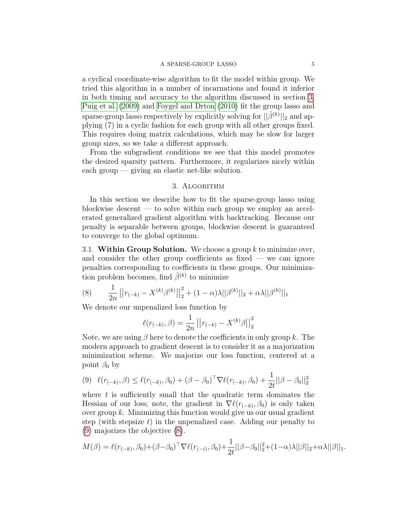a cyclical coordinate-wise algorithm to fit the model within group. We tried this algorithm in a number of incarnations and found it inferior in both timing and accuracy to the algorithm discussed in section [3.](#page-4-0) [Puig et al.](#page-17-3) [\(2009\)](#page-17-3) and [Foygel and Drton](#page-17-4) [\(2010\)](#page-17-4) fit the group lasso and sparse-group lasso respectively by explicitly solving for  $||\hat{\beta}^{(k)}||_2$  and applying (7) in a cyclic fashion for each group with all other groups fixed. This requires doing matrix calculations, which may be slow for larger group sizes, so we take a different approach.

From the subgradient conditions we see that this model promotes the desired sparsity pattern. Furthermore, it regularizes nicely within each group  $-$  giving an elastic net-like solution.

## 3. Algorithm

<span id="page-4-0"></span>In this section we describe how to fit the sparse-group lasso using blockwise descent — to solve within each group we employ an accelerated generalized gradient algorithm with backtracking. Because our penalty is separable between groups, blockwise descent is guaranteed to converge to the global optimum.

3.1. Within Group Solution. We choose a group  $k$  to minimize over, and consider the other group coefficients as fixed — we can ignore penalties corresponding to coefficients in these groups. Our minimization problem becomes, find  $\hat{\beta}^{(k)}$  to minimize

<span id="page-4-2"></span>(8) 
$$
\frac{1}{2n}||r_{(-k)} - X^{(k)}\beta^{(k)}||_2^2 + (1-\alpha)\lambda||\beta^{(k)}||_2 + \alpha\lambda||\beta^{(k)}||_1
$$

We denote our unpenalized loss function by

$$
\ell(r_{(-k)}, \beta) = \frac{1}{2n} ||r_{(-k)} - X^{(k)}\beta||_2^2
$$

Note, we are using  $\beta$  here to denote the coefficients in only group k. The modern approach to gradient descent is to consider it as a majorization minimization scheme. We majorize our loss function, centered at a point  $\beta_0$  by

<span id="page-4-1"></span>
$$
(9) \ \ell(r_{(-k)}, \beta) \leq \ell(r_{(-k)}, \beta_0) + (\beta - \beta_0)^{\top} \nabla \ell(r_{(-k)}, \beta_0) + \frac{1}{2t} ||\beta - \beta_0||_2^2
$$

where  $t$  is sufficiently small that the quadratic term dominates the Hessian of our loss; note, the gradient in  $\nabla \ell(r_{(-k)}, \beta_0)$  is only taken over group  $k$ . Minimizing this function would give us our usual gradient step (with stepsize  $t$ ) in the unpenalized case. Adding our penalty to [\(9\)](#page-4-1) majorizes the objective [\(8\)](#page-4-2).

$$
M(\beta) = \ell(r_{(-k)}, \beta_0) + (\beta - \beta_0)^{\top} \nabla \ell(r_{(-i)}, \beta_0) + \frac{1}{2t} ||\beta - \beta_0||_2^2 + (1 - \alpha)\lambda ||\beta||_2 + \alpha \lambda ||\beta||_1.
$$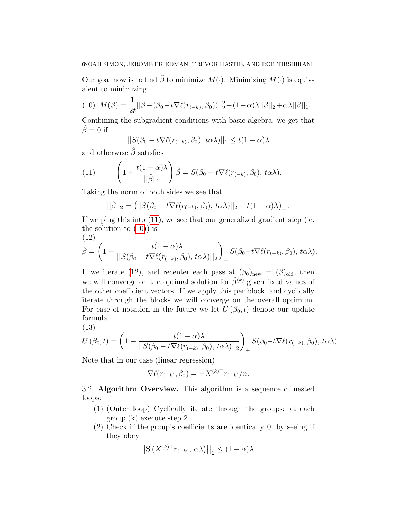## 6NOAH SIMON, JEROME FRIEDMAN, TREVOR HASTIE, AND ROB TIBSHIRANI

Our goal now is to find  $\tilde{\beta}$  to minimize  $M(\cdot)$ . Minimizing  $M(\cdot)$  is equivalent to minimizing

<span id="page-5-1"></span>(10) 
$$
\tilde{M}(\beta) = \frac{1}{2t} ||\beta - (\beta_0 - t \nabla \ell(r_{(-k)}, \beta_0))||_2^2 + (1 - \alpha)\lambda ||\beta||_2 + \alpha \lambda ||\beta||_1.
$$

Combining the subgradient conditions with basic algebra, we get that  $\hat{\beta}=0$  if

$$
||S(\beta_0 - t\nabla \ell(r_{(-k)}, \beta_0), t\alpha\lambda)||_2 \le t(1-\alpha)\lambda
$$

and otherwise  $\beta$  satisfies

<span id="page-5-0"></span>(11) 
$$
\left(1 + \frac{t(1-\alpha)\lambda}{||\hat{\beta}||_2}\right)\hat{\beta} = S(\beta_0 - t\nabla \ell(r_{(-k)}, \beta_0), t\alpha\lambda).
$$

Taking the norm of both sides we see that

$$
||\hat{\beta}||_2 = (||S(\beta_0 - t\nabla \ell(r_{(-k)}, \beta_0), t\alpha\lambda)||_2 - t(1-\alpha)\lambda)_+.
$$

If we plug this into [\(11\)](#page-5-0), we see that our generalized gradient step (ie. the solution to  $(10)$  is

(12)

<span id="page-5-2"></span>
$$
\hat{\beta} = \left(1 - \frac{t(1-\alpha)\lambda}{\|S(\beta_0 - t\nabla \ell(r_{(-k)}, \beta_0), t\alpha\lambda)\|_2}\right)_+ S(\beta_0 - t\nabla \ell(r_{(-k)}, \beta_0), t\alpha\lambda).
$$

If we iterate [\(12\)](#page-5-2), and recenter each pass at  $(\beta_0)_{\text{new}} = (\hat{\beta})_{\text{old}}$ , then we will converge on the optimal solution for  $\hat{\beta}^{(k)}$  given fixed values of the other coefficient vectors. If we apply this per block, and cyclically iterate through the blocks we will converge on the overall optimum. For ease of notation in the future we let  $U(\beta_0, t)$  denote our update formula

$$
(13)
$$

<span id="page-5-3"></span>
$$
U(\beta_0, t) = \left(1 - \frac{t(1-\alpha)\lambda}{\|S(\beta_0 - t\nabla \ell(r_{(-k)}, \beta_0), t\alpha\lambda)\|_2}\right)_+ S(\beta_0 - t\nabla \ell(r_{(-k)}, \beta_0), t\alpha\lambda).
$$

Note that in our case (linear regression)

$$
\nabla \ell(r_{(-k)}, \beta_0) = -X^{(k)\top}r_{(-k)}/n.
$$

3.2. Algorithm Overview. This algorithm is a sequence of nested loops:

- (1) (Outer loop) Cyclically iterate through the groups; at each group (k) execute step 2
- (2) Check if the group's coefficients are identically 0, by seeing if they obey

$$
\left| \left| \mathcal{S} \left( X^{(k)\top} r_{(-k)}, \alpha \lambda \right) \right| \right|_2 \le (1 - \alpha) \lambda.
$$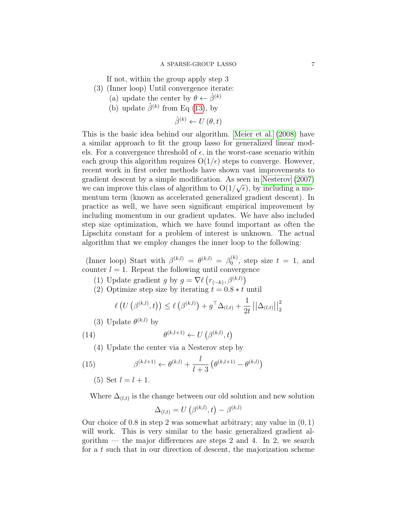If not, within the group apply step 3

- (3) (Inner loop) Until convergence iterate:
	- (a) update the center by  $\theta \leftarrow \hat{\beta}^{(k)}$
	- (b) update  $\hat{\beta}^{(k)}$  from Eq [\(13\)](#page-5-3), by

$$
\hat{\beta}^{(k)} \leftarrow U\left(\theta, t\right)
$$

This is the basic idea behind our algorithm. [Meier et al.](#page-17-5) [\(2008\)](#page-17-5) have a similar approach to fit the group lasso for generalized linear models. For a convergence threshold of  $\epsilon$ , in the worst-case scenario within each group this algorithm requires  $O(1/\epsilon)$  steps to converge. However, recent work in first order methods have shown vast improvements to gradient descent by a simple modification. As seen in [Nesterov](#page-17-6)  $(2007)$ we can improve this class of algorithm to  $O(1/\sqrt{\epsilon})$ , by including a momentum term (known as accelerated generalized gradient descent). In practice as well, we have seen significant empirical improvement by including momentum in our gradient updates. We have also included step size optimization, which we have found important as often the Lipschitz constant for a problem of interest is unknown. The actual algorithm that we employ changes the inner loop to the following:

(Inner loop) Start with  $\beta^{(k,l)} = \theta^{(k,l)} = \beta_0^{(k)}$  $_0^{(k)}$ , step size  $t = 1$ , and counter  $l = 1$ . Repeat the following until convergence

- (1) Update gradient g by  $g = \nabla \ell (r_{(-k)}, \beta^{(k,l)})$
- (2) Optimize step size by iterating  $t = 0.8 * t$  until

$$
\ell\left(U\left(\beta^{(k,l)},t\right)\right) \leq \ell\left(\beta^{(k,l)}\right) + g^{\top}\Delta_{(l,t)} + \frac{1}{2t} \left|\left|\Delta_{(l,t)}\right|\right|_{2}^{2}
$$

(3) Update  $\theta^{(k,l)}$  by

(14) 
$$
\theta^{(k,l+1)} \leftarrow U\left(\beta^{(k,l)}, t\right)
$$

(4) Update the center via a Nesterov step by

(15) 
$$
\beta^{(k,l+1)} \leftarrow \theta^{(k,l)} + \frac{l}{l+3} \left( \theta^{(k,l+1)} - \theta^{(k,l)} \right)
$$

(5) Set  $l = l + 1$ .

Where  $\Delta_{(l,t)}$  is the change between our old solution and new solution

$$
\Delta_{(l,t)} = U(\beta^{(k,l)}, t) - \beta^{(k,l)}
$$

Our choice of 0.8 in step 2 was somewhat arbitrary; any value in (0, 1) will work. This is very similar to the basic generalized gradient algorithm — the major differences are steps 2 and 4. In 2, we search for a t such that in our direction of descent, the majorization scheme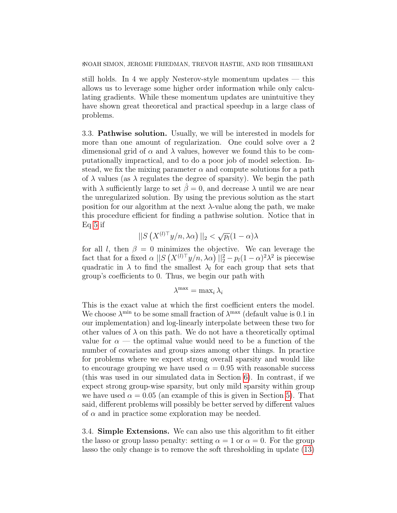still holds. In 4 we apply Nesterov-style momentum updates — this allows us to leverage some higher order information while only calculating gradients. While these momentum updates are unintuitive they have shown great theoretical and practical speedup in a large class of problems.

3.3. Pathwise solution. Usually, we will be interested in models for more than one amount of regularization. One could solve over a 2 dimensional grid of  $\alpha$  and  $\lambda$  values, however we found this to be computationally impractical, and to do a poor job of model selection. Instead, we fix the mixing parameter  $\alpha$  and compute solutions for a path of  $\lambda$  values (as  $\lambda$  regulates the degree of sparsity). We begin the path with  $\lambda$  sufficiently large to set  $\hat{\beta} = 0$ , and decrease  $\lambda$  until we are near the unregularized solution. By using the previous solution as the start position for our algorithm at the next  $\lambda$ -value along the path, we make this procedure efficient for finding a pathwise solution. Notice that in Eq [5](#page-3-1) if

$$
||S(X^{(l)\top}y/n, \lambda\alpha)||_2 < \sqrt{p_l}(1-\alpha)\lambda
$$

for all l, then  $\beta = 0$  minimizes the objective. We can leverage the fact that for a fixed  $\alpha ||S(X^{(l)\top}y/n, \lambda \alpha)||_2^2 - p_l(1-\alpha)^2\lambda^2$  is piecewise quadratic in  $\lambda$  to find the smallest  $\lambda_l$  for each group that sets that group's coefficients to 0. Thus, we begin our path with

$$
\lambda^{\max} = \max_i \lambda_i
$$

This is the exact value at which the first coefficient enters the model. We choose  $\lambda^{\min}$  to be some small fraction of  $\lambda^{\max}$  (default value is 0.1 in our implementation) and log-linearly interpolate between these two for other values of  $\lambda$  on this path. We do not have a theoretically optimal value for  $\alpha$  — the optimal value would need to be a function of the number of covariates and group sizes among other things. In practice for problems where we expect strong overall sparsity and would like to encourage grouping we have used  $\alpha = 0.95$  with reasonable success (this was used in our simulated data in Section [6\)](#page-13-0). In contrast, if we expect strong group-wise sparsity, but only mild sparsity within group we have used  $\alpha = 0.05$  (an example of this is given in Section [5\)](#page-9-0). That said, different problems will possibly be better served by different values of  $\alpha$  and in practice some exploration may be needed.

3.4. Simple Extensions. We can also use this algorithm to fit either the lasso or group lasso penalty: setting  $\alpha = 1$  or  $\alpha = 0$ . For the group lasso the only change is to remove the soft thresholding in update [\(13\)](#page-5-3)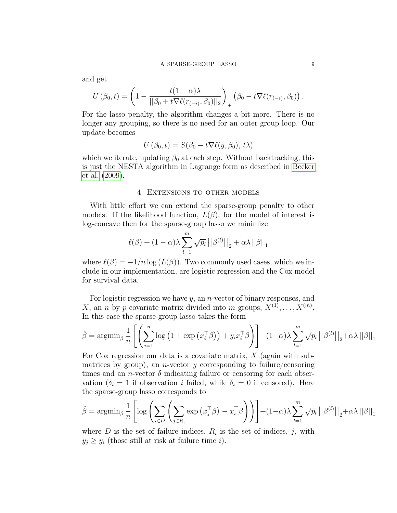and get

$$
U(\beta_0, t) = \left(1 - \frac{t(1-\alpha)\lambda}{||\beta_0 + t\nabla \ell(r_{(-i)}, \beta_0)||_2}\right)_+ \left(\beta_0 - t\nabla \ell(r_{(-i)}, \beta_0)\right).
$$

For the lasso penalty, the algorithm changes a bit more. There is no longer any grouping, so there is no need for an outer group loop. Our update becomes

$$
U(\beta_0, t) = S(\beta_0 - t\nabla \ell(y, \beta_0), t\lambda)
$$

which we iterate, updating  $\beta_0$  at each step. Without backtracking, this is just the NESTA algorithm in Lagrange form as described in [Becker](#page-17-7) [et al.](#page-17-7) [\(2009\)](#page-17-7).

#### 4. Extensions to other models

<span id="page-8-0"></span>With little effort we can extend the sparse-group penalty to other models. If the likelihood function,  $L(\beta)$ , for the model of interest is log-concave then for the sparse-group lasso we minimize

$$
\ell(\beta) + (1 - \alpha)\lambda \sum_{l=1}^{m} \sqrt{p_l} ||\beta^{(l)}||_2 + \alpha \lambda ||\beta||_1
$$

where  $\ell(\beta) = -1/n \log (L(\beta))$ . Two commonly used cases, which we include in our implementation, are logistic regression and the Cox model for survival data.

For logistic regression we have  $y$ , an *n*-vector of binary responses, and X, an *n* by *p* covariate matrix divided into *m* groups,  $X^{(1)}, \ldots, X^{(m)}$ . In this case the sparse-group lasso takes the form

$$
\hat{\beta} = \operatorname{argmin}_{\beta} \frac{1}{n} \left[ \left( \sum_{i=1}^{n} \log \left( 1 + \exp \left( x_{i}^{\top} \beta \right) \right) + y_{i} x_{i}^{\top} \beta \right) \right] + (1 - \alpha) \lambda \sum_{l=1}^{m} \sqrt{p_{l}} \left| \left| \beta^{(l)} \right| \right|_{2} + \alpha \lambda \left| \left| \beta \right| \right|_{1}
$$

For Cox regression our data is a covariate matrix,  $X$  (again with submatrices by group), an *n*-vector y corresponding to failure/censoring times and an *n*-vector  $\delta$  indicating failure or censoring for each observation ( $\delta_i = 1$  if observation i failed, while  $\delta_i = 0$  if censored). Here the sparse-group lasso corresponds to

$$
\hat{\beta} = \operatorname{argmin}_{\beta} \frac{1}{n} \left[ \log \left( \sum_{i \in D} \left( \sum_{j \in R_i} \exp \left( x_j^{\top} \beta \right) - x_i^{\top} \beta \right) \right) \right] + (1 - \alpha) \lambda \sum_{l=1}^{m} \sqrt{p_l} ||\beta^{(l)}||_2 + \alpha \lambda ||\beta||_1
$$

where  $D$  is the set of failure indices,  $R_i$  is the set of indices, j, with  $y_j \geq y_i$  (those still at risk at failure time i).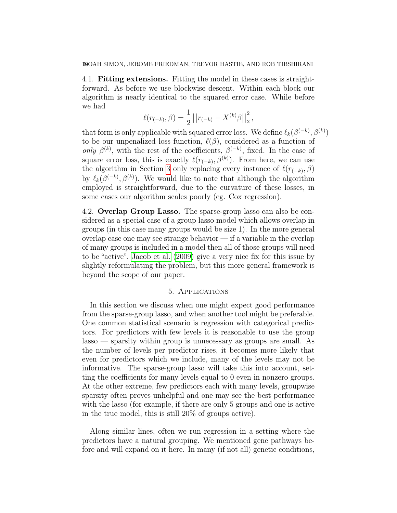4.1. Fitting extensions. Fitting the model in these cases is straightforward. As before we use blockwise descent. Within each block our algorithm is nearly identical to the squared error case. While before we had

$$
\ell(r_{(-k)}, \beta) = \frac{1}{2} ||r_{(-k)} - X^{(k)}\beta||_2^2,
$$

that form is only applicable with squared error loss. We define  $\ell_k(\beta^{(-k)}, \beta^{(k)})$ to be our unpenalized loss function,  $\ell(\beta)$ , considered as a function of only  $\beta^{(k)}$ , with the rest of the coefficients,  $\beta^{(-k)}$ , fixed. In the case of square error loss, this is exactly  $\ell(r_{(-k)}, \beta^{(k)})$ . From here, we can use the algorithm in Section [3](#page-4-0) only replacing every instance of  $\ell(r_{(-k)}, \beta)$ by  $\ell_k(\beta^{(-k)}, \beta^{(k)})$ . We would like to note that although the algorithm employed is straightforward, due to the curvature of these losses, in some cases our algorithm scales poorly (eg. Cox regression).

4.2. Overlap Group Lasso. The sparse-group lasso can also be considered as a special case of a group lasso model which allows overlap in groups (in this case many groups would be size 1). In the more general overlap case one may see strange behavior — if a variable in the overlap of many groups is included in a model then all of those groups will need to be "active". [Jacob et al.](#page-17-8) [\(2009\)](#page-17-8) give a very nice fix for this issue by slightly reformulating the problem, but this more general framework is beyond the scope of our paper.

#### 5. Applications

<span id="page-9-0"></span>In this section we discuss when one might expect good performance from the sparse-group lasso, and when another tool might be preferable. One common statistical scenario is regression with categorical predictors. For predictors with few levels it is reasonable to use the group lasso — sparsity within group is unnecessary as groups are small. As the number of levels per predictor rises, it becomes more likely that even for predictors which we include, many of the levels may not be informative. The sparse-group lasso will take this into account, setting the coefficients for many levels equal to 0 even in nonzero groups. At the other extreme, few predictors each with many levels, groupwise sparsity often proves unhelpful and one may see the best performance with the lasso (for example, if there are only 5 groups and one is active in the true model, this is still 20% of groups active).

Along similar lines, often we run regression in a setting where the predictors have a natural grouping. We mentioned gene pathways before and will expand on it here. In many (if not all) genetic conditions,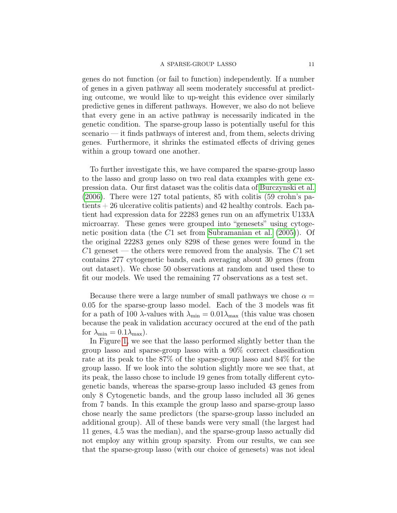genes do not function (or fail to function) independently. If a number of genes in a given pathway all seem moderately successful at predicting outcome, we would like to up-weight this evidence over similarly predictive genes in different pathways. However, we also do not believe that every gene in an active pathway is necessarily indicated in the genetic condition. The sparse-group lasso is potentially useful for this scenario — it finds pathways of interest and, from them, selects driving genes. Furthermore, it shrinks the estimated effects of driving genes within a group toward one another.

To further investigate this, we have compared the sparse-group lasso to the lasso and group lasso on two real data examples with gene expression data. Our first dataset was the colitis data of [Burczynski et al.](#page-17-9) [\(2006\)](#page-17-9). There were 127 total patients, 85 with colitis (59 crohn's patients + 26 ulcerative colitis patients) and 42 healthy controls. Each patient had expression data for 22283 genes run on an affymetrix U133A microarray. These genes were grouped into "genesets" using cytogenetic position data (the C1 set from [Subramanian et al.](#page-17-10) [\(2005\)](#page-17-10)). Of the original 22283 genes only 8298 of these genes were found in the  $C1$  geneset — the others were removed from the analysis. The  $C1$  set contains 277 cytogenetic bands, each averaging about 30 genes (from out dataset). We chose 50 observations at random and used these to fit our models. We used the remaining 77 observations as a test set.

Because there were a large number of small pathways we chose  $\alpha =$ 0.05 for the sparse-group lasso model. Each of the 3 models was fit for a path of 100  $\lambda$ -values with  $\lambda_{\min} = 0.01 \lambda_{\max}$  (this value was chosen because the peak in validation accuracy occured at the end of the path for  $\lambda_{\min} = 0.1 \lambda_{\max}$ ).

In Figure [1,](#page-11-0) we see that the lasso performed slightly better than the group lasso and sparse-group lasso with a 90% correct classification rate at its peak to the 87% of the sparse-group lasso and 84% for the group lasso. If we look into the solution slightly more we see that, at its peak, the lasso chose to include 19 genes from totally different cytogenetic bands, whereas the sparse-group lasso included 43 genes from only 8 Cytogenetic bands, and the group lasso included all 36 genes from 7 bands. In this example the group lasso and sparse-group lasso chose nearly the same predictors (the sparse-group lasso included an additional group). All of these bands were very small (the largest had 11 genes, 4.5 was the median), and the sparse-group lasso actually did not employ any within group sparsity. From our results, we can see that the sparse-group lasso (with our choice of genesets) was not ideal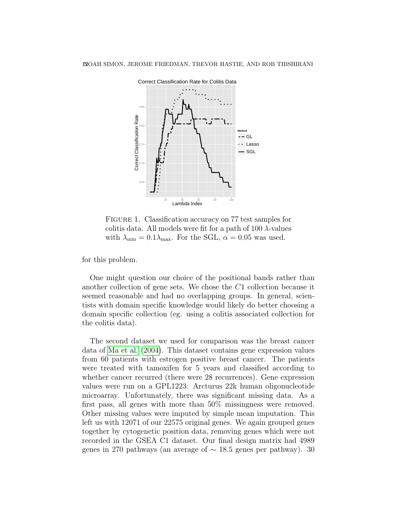

<span id="page-11-0"></span>FIGURE 1. Classification accuracy on 77 test samples for colitis data. All models were fit for a path of 100  $\lambda$ -values with  $\lambda_{\min} = 0.1 \lambda_{\max}$ . For the SGL,  $\alpha = 0.05$  was used.

for this problem.

One might question our choice of the positional bands rather than another collection of gene sets. We chose the C1 collection because it seemed reasonable and had no overlapping groups. In general, scientists with domain specific knowledge would likely do better choosing a domain specific collection (eg. using a colitis associated collection for the colitis data).

The second dataset we used for comparison was the breast cancer data of [Ma et al.](#page-17-11) [\(2004\)](#page-17-11). This dataset contains gene expression values from 60 patients with estrogen positive breast cancer. The patients were treated with tamoxifen for 5 years and classified according to whether cancer recurred (there were 28 recurrences). Gene expression values were run on a GPL1223: Arcturus 22k human oligonucleotide microarray. Unfortunately, there was significant missing data. As a first pass, all genes with more than 50% missingness were removed. Other missing values were imputed by simple mean imputation. This left us with 12071 of our 22575 original genes. We again grouped genes together by cytogenetic position data, removing genes which were not recorded in the GSEA C1 dataset. Our final design matrix had 4989 genes in 270 pathways (an average of  $\sim 18.5$  genes per pathway). 30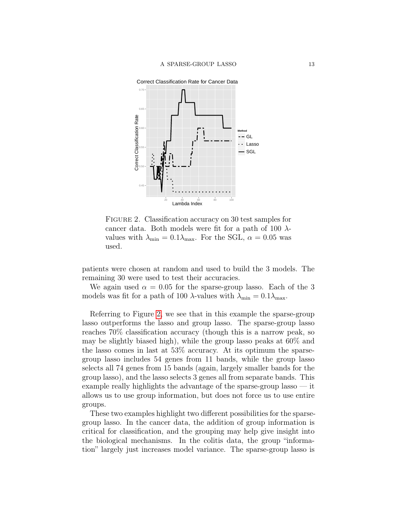

<span id="page-12-0"></span>FIGURE 2. Classification accuracy on 30 test samples for cancer data. Both models were fit for a path of 100  $\lambda$ values with  $\lambda_{\min} = 0.1 \lambda_{\max}$ . For the SGL,  $\alpha = 0.05$  was used.

patients were chosen at random and used to build the 3 models. The remaining 30 were used to test their accuracies.

We again used  $\alpha = 0.05$  for the sparse-group lasso. Each of the 3 models was fit for a path of 100  $\lambda$ -values with  $\lambda_{\min} = 0.1 \lambda_{\max}$ .

Referring to Figure [2,](#page-12-0) we see that in this example the sparse-group lasso outperforms the lasso and group lasso. The sparse-group lasso reaches 70% classification accuracy (though this is a narrow peak, so may be slightly biased high), while the group lasso peaks at 60% and the lasso comes in last at 53% accuracy. At its optimum the sparsegroup lasso includes 54 genes from 11 bands, while the group lasso selects all 74 genes from 15 bands (again, largely smaller bands for the group lasso), and the lasso selects 3 genes all from separate bands. This example really highlights the advantage of the sparse-group lasso — it allows us to use group information, but does not force us to use entire groups.

These two examples highlight two different possibilities for the sparsegroup lasso. In the cancer data, the addition of group information is critical for classification, and the grouping may help give insight into the biological mechanisms. In the colitis data, the group "information" largely just increases model variance. The sparse-group lasso is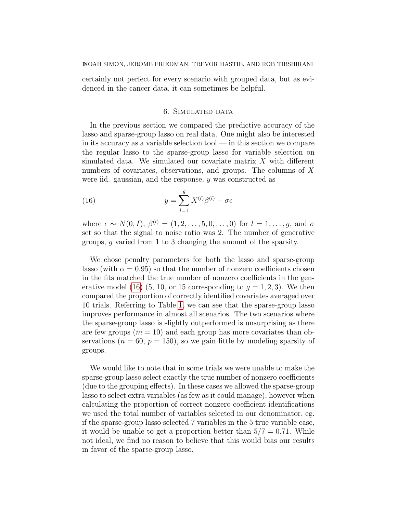certainly not perfect for every scenario with grouped data, but as evidenced in the cancer data, it can sometimes be helpful.

#### 6. Simulated data

<span id="page-13-0"></span>In the previous section we compared the predictive accuracy of the lasso and sparse-group lasso on real data. One might also be interested in its accuracy as a variable selection tool — in this section we compare the regular lasso to the sparse-group lasso for variable selection on simulated data. We simulated our covariate matrix X with different numbers of covariates, observations, and groups. The columns of X were iid. gaussian, and the response,  $\gamma$  was constructed as

<span id="page-13-1"></span>(16) 
$$
y = \sum_{l=1}^{g} X^{(l)} \beta^{(l)} + \sigma \epsilon
$$

where  $\epsilon \sim N(0, I), \ \beta^{(l)} = (1, 2, \ldots, 5, 0, \ldots, 0)$  for  $l = 1, \ldots, g$ , and  $\sigma$ set so that the signal to noise ratio was 2. The number of generative groups, g varied from 1 to 3 changing the amount of the sparsity.

We chose penalty parameters for both the lasso and sparse-group lasso (with  $\alpha = 0.95$ ) so that the number of nonzero coefficients chosen in the fits matched the true number of nonzero coefficients in the gen-erative model [\(16\)](#page-13-1) (5, 10, or 15 corresponding to  $g = 1, 2, 3$ ). We then compared the proportion of correctly identified covariates averaged over 10 trials. Referring to Table [1,](#page-14-0) we can see that the sparse-group lasso improves performance in almost all scenarios. The two scenarios where the sparse-group lasso is slightly outperformed is unsurprising as there are few groups  $(m = 10)$  and each group has more covariates than observations  $(n = 60, p = 150)$ , so we gain little by modeling sparsity of groups.

We would like to note that in some trials we were unable to make the sparse-group lasso select exactly the true number of nonzero coefficients (due to the grouping effects). In these cases we allowed the sparse-group lasso to select extra variables (as few as it could manage), however when calculating the proportion of correct nonzero coefficient identifications we used the total number of variables selected in our denominator, eg. if the sparse-group lasso selected 7 variables in the 5 true variable case, it would be unable to get a proportion better than  $5/7 = 0.71$ . While not ideal, we find no reason to believe that this would bias our results in favor of the sparse-group lasso.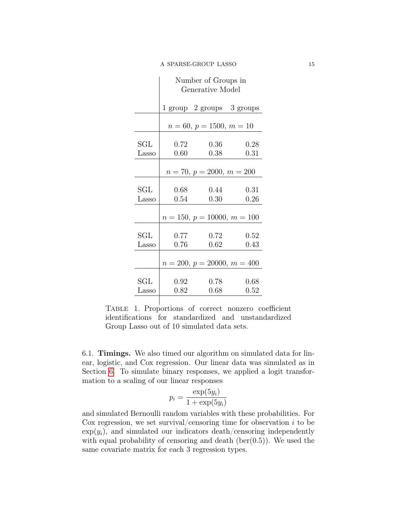|                               | Number of Groups in<br>Generative Model |                           |              |  |  |  |  |
|-------------------------------|-----------------------------------------|---------------------------|--------------|--|--|--|--|
|                               |                                         | 1 group 2 groups 3 groups |              |  |  |  |  |
|                               | $n = 60, p = 1500, m = 10$              |                           |              |  |  |  |  |
| SGL                           | 0.72                                    | 0.36                      | 0.28         |  |  |  |  |
| Lasso                         | 0.60                                    | 0.38                      | 0.31         |  |  |  |  |
|                               | $n = 70, p = 2000, m = 200$             |                           |              |  |  |  |  |
| $\operatorname{SGL}$<br>Lasso | 0.68<br>0.54                            | 0.44<br>0.30              | 0.31<br>0.26 |  |  |  |  |
|                               | $n = 150, p = 10000, m = 100$           |                           |              |  |  |  |  |
| $\operatorname{SGL}$<br>Lasso | 0.77<br>0.76                            | 0.72<br>0.62              | 0.52<br>0.43 |  |  |  |  |
|                               | $n = 200, p = 20000, m = 400$           |                           |              |  |  |  |  |
| $\operatorname{SGL}$<br>Lasso | 0.92<br>0.82                            | 0.78<br>0.68              | 0.68<br>0.52 |  |  |  |  |

<span id="page-14-0"></span>Table 1. Proportions of correct nonzero coefficient identifications for standardized and unstandardized Group Lasso out of 10 simulated data sets.

6.1. Timings. We also timed our algorithm on simulated data for linear, logistic, and Cox regression. Our linear data was simulated as in Section [6.](#page-13-0) To simulate binary responses, we applied a logit transformation to a scaling of our linear responses

$$
p_i = \frac{\exp(5y_i)}{1 + \exp(5y_i)}
$$

and simulated Bernoulli random variables with these probabilities. For Cox regression, we set survival/censoring time for observation  $i$  to be  $\exp(y_i)$ , and simulated our indicators death/censoring independently with equal probability of censoring and death  $(ber(0.5))$ . We used the same covariate matrix for each 3 regression types.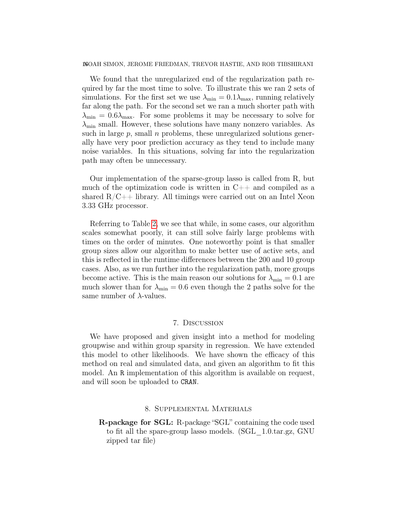#### 16NOAH SIMON, JEROME FRIEDMAN, TREVOR HASTIE, AND ROB TIBSHIRANI

We found that the unregularized end of the regularization path required by far the most time to solve. To illustrate this we ran 2 sets of simulations. For the first set we use  $\lambda_{\min} = 0.1 \lambda_{\max}$ , running relatively far along the path. For the second set we ran a much shorter path with  $\lambda_{\min} = 0.6\lambda_{\max}$ . For some problems it may be necessary to solve for  $\lambda_{\min}$  small. However, these solutions have many nonzero variables. As such in large  $p$ , small  $n$  problems, these unregularized solutions generally have very poor prediction accuracy as they tend to include many noise variables. In this situations, solving far into the regularization path may often be unnecessary.

Our implementation of the sparse-group lasso is called from R, but much of the optimization code is written in  $C_{++}$  and compiled as a shared  $R/C++$  library. All timings were carried out on an Intel Xeon 3.33 GHz processor.

Referring to Table [2,](#page-16-0) we see that while, in some cases, our algorithm scales somewhat poorly, it can still solve fairly large problems with times on the order of minutes. One noteworthy point is that smaller group sizes allow our algorithm to make better use of active sets, and this is reflected in the runtime differences between the 200 and 10 group cases. Also, as we run further into the regularization path, more groups become active. This is the main reason our solutions for  $\lambda_{\min} = 0.1$  are much slower than for  $\lambda_{\min} = 0.6$  even though the 2 paths solve for the same number of  $\lambda$ -values.

## 7. Discussion

We have proposed and given insight into a method for modeling groupwise and within group sparsity in regression. We have extended this model to other likelihoods. We have shown the efficacy of this method on real and simulated data, and given an algorithm to fit this model. An R implementation of this algorithm is available on request, and will soon be uploaded to CRAN.

#### 8. Supplemental Materials

R-package for SGL: R-package "SGL" containing the code used to fit all the spare-group lasso models. (SGL\_1.0.tar.gz, GNU zipped tar file)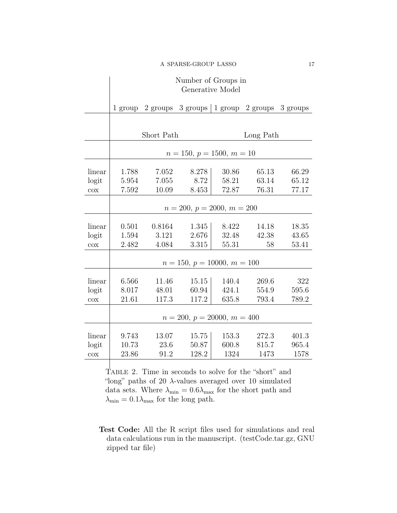# Number of Groups in Generative Model

|        |                               |        | 1 group 2 groups 3 groups 1 group 2 groups 3 groups |       |       |       |  |  |
|--------|-------------------------------|--------|-----------------------------------------------------|-------|-------|-------|--|--|
|        |                               |        |                                                     |       |       |       |  |  |
|        | Short Path                    |        | Long Path                                           |       |       |       |  |  |
|        | $n = 150, p = 1500, m = 10$   |        |                                                     |       |       |       |  |  |
|        |                               |        |                                                     |       |       |       |  |  |
| linear | 1.788                         | 7.052  | 8.278                                               | 30.86 | 65.13 | 66.29 |  |  |
| logit  | 5.954                         | 7.055  | 8.72                                                | 58.21 | 63.14 | 65.12 |  |  |
| $\cos$ | 7.592                         | 10.09  | 8.453                                               | 72.87 | 76.31 | 77.17 |  |  |
|        |                               |        |                                                     |       |       |       |  |  |
|        | $n = 200, p = 2000, m = 200$  |        |                                                     |       |       |       |  |  |
|        |                               |        |                                                     |       |       |       |  |  |
| linear | 0.501                         | 0.8164 | 1.345                                               | 8.422 | 14.18 | 18.35 |  |  |
| logit  | 1.594                         | 3.121  | 2.676                                               | 32.48 | 42.38 | 43.65 |  |  |
| $\cos$ | 2.482                         | 4.084  | 3.315                                               | 55.31 | 58    | 53.41 |  |  |
|        | $n = 150, p = 10000, m = 100$ |        |                                                     |       |       |       |  |  |
|        |                               |        |                                                     |       |       |       |  |  |
| linear | 6.566                         | 11.46  | 15.15                                               | 140.4 | 269.6 | 322   |  |  |
| logit  | 8.017                         | 48.01  | 60.94                                               | 424.1 | 554.9 | 595.6 |  |  |
| $\cos$ | 21.61                         | 117.3  | 117.2                                               | 635.8 | 793.4 | 789.2 |  |  |
|        |                               |        |                                                     |       |       |       |  |  |
|        | $n = 200, p = 20000, m = 400$ |        |                                                     |       |       |       |  |  |
|        |                               |        |                                                     |       |       |       |  |  |
| linear | 9.743                         | 13.07  | 15.75                                               | 153.3 | 272.3 | 401.3 |  |  |
| logit  | 10.73                         | 23.6   | 50.87                                               | 600.8 | 815.7 | 965.4 |  |  |
| $\cos$ | 23.86                         | 91.2   | 128.2                                               | 1324  | 1473  | 1578  |  |  |

<span id="page-16-0"></span>Table 2. Time in seconds to solve for the "short" and "long" paths of 20  $\lambda$ -values averaged over 10 simulated data sets. Where  $\lambda_{\rm min} = 0.6 \lambda_{\rm max}$  for the short path and  $\lambda_{\rm min} = 0.1 \lambda_{\rm max}$  for the long path.

Test Code: All the R script files used for simulations and real data calculations run in the manuscript. (testCode.tar.gz, GNU zipped tar file)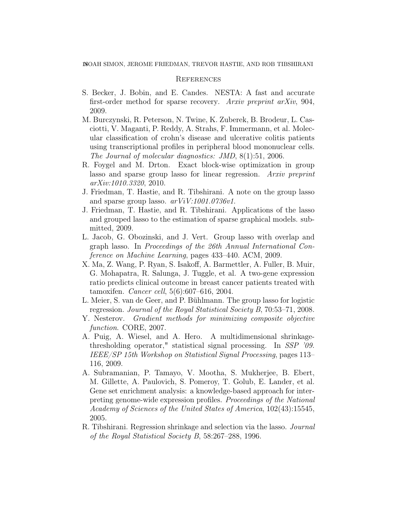#### **REFERENCES**

- <span id="page-17-7"></span>S. Becker, J. Bobin, and E. Candes. NESTA: A fast and accurate first-order method for sparse recovery. Arxiv preprint arXiv, 904, 2009.
- <span id="page-17-9"></span>M. Burczynski, R. Peterson, N. Twine, K. Zuberek, B. Brodeur, L. Casciotti, V. Maganti, P. Reddy, A. Strahs, F. Immermann, et al. Molecular classification of crohn's disease and ulcerative colitis patients using transcriptional profiles in peripheral blood mononuclear cells. The Journal of molecular diagnostics: JMD, 8(1):51, 2006.
- <span id="page-17-4"></span>R. Foygel and M. Drton. Exact block-wise optimization in group lasso and sparse group lasso for linear regression. Arxiv preprint arXiv:1010.3320, 2010.
- <span id="page-17-1"></span>J. Friedman, T. Hastie, and R. Tibshirani. A note on the group lasso and sparse group lasso.  $arViV:1001.0736v1$ .
- <span id="page-17-2"></span>J. Friedman, T. Hastie, and R. Tibshirani. Applications of the lasso and grouped lasso to the estimation of sparse graphical models. submitted, 2009.
- <span id="page-17-8"></span>L. Jacob, G. Obozinski, and J. Vert. Group lasso with overlap and graph lasso. In Proceedings of the 26th Annual International Conference on Machine Learning, pages 433–440. ACM, 2009.
- <span id="page-17-11"></span>X. Ma, Z. Wang, P. Ryan, S. Isakoff, A. Barmettler, A. Fuller, B. Muir, G. Mohapatra, R. Salunga, J. Tuggle, et al. A two-gene expression ratio predicts clinical outcome in breast cancer patients treated with tamoxifen. Cancer cell, 5(6):607–616, 2004.
- <span id="page-17-5"></span>L. Meier, S. van de Geer, and P. Bühlmann. The group lasso for logistic regression. Journal of the Royal Statistical Society B, 70:53–71, 2008.
- <span id="page-17-6"></span>Y. Nesterov. Gradient methods for minimizing composite objective function. CORE, 2007.
- <span id="page-17-3"></span>A. Puig, A. Wiesel, and A. Hero. A multidimensional shrinkagethresholding operator," statistical signal processing. In SSP '09. IEEE/SP 15th Workshop on Statistical Signal Processing, pages 113– 116, 2009.
- <span id="page-17-10"></span>A. Subramanian, P. Tamayo, V. Mootha, S. Mukherjee, B. Ebert, M. Gillette, A. Paulovich, S. Pomeroy, T. Golub, E. Lander, et al. Gene set enrichment analysis: a knowledge-based approach for interpreting genome-wide expression profiles. Proceedings of the National Academy of Sciences of the United States of America, 102(43):15545, 2005.
- <span id="page-17-0"></span>R. Tibshirani. Regression shrinkage and selection via the lasso. Journal of the Royal Statistical Society B, 58:267–288, 1996.